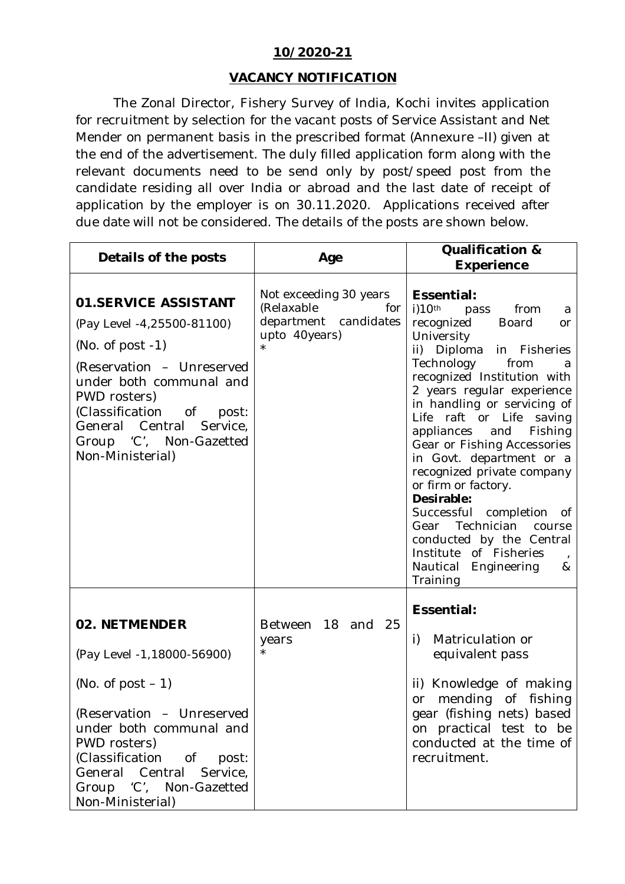## **10/2020-21**

## **VACANCY NOTIFICATION**

The Zonal Director, Fishery Survey of India, Kochi invites application for recruitment by selection for the vacant posts of Service Assistant and Net Mender on permanent basis in the prescribed format (Annexure –II) given at the end of the advertisement. The duly filled application form along with the relevant documents need to be send only by post/speed post from the candidate residing all over India or abroad and the last date of receipt of application by the employer is on 30.11.2020. Applications received after due date will not be considered. The details of the posts are shown below.

| Details of the posts                                                                                                                                                                                                                                                  | Age                                                                                   | <b>Qualification &amp;</b><br><b>Experience</b>                                                                                                                                                                                                                                                                                                                                                                                                                                                                                                                                                            |  |  |
|-----------------------------------------------------------------------------------------------------------------------------------------------------------------------------------------------------------------------------------------------------------------------|---------------------------------------------------------------------------------------|------------------------------------------------------------------------------------------------------------------------------------------------------------------------------------------------------------------------------------------------------------------------------------------------------------------------------------------------------------------------------------------------------------------------------------------------------------------------------------------------------------------------------------------------------------------------------------------------------------|--|--|
| <b>01.SERVICE ASSISTANT</b><br>(Pay Level -4,25500-81100)<br>(No. of post $-1$ )<br>(Reservation - Unreserved<br>under both communal and<br>PWD rosters)<br>(Classification of<br>post:<br>General Central<br>Service,<br>Group 'C', Non-Gazetted<br>Non-Ministerial) | Not exceeding 30 years<br>(Relaxable<br>for<br>department candidates<br>upto 40years) | Essential:<br>$i)10$ th<br>from<br>pass<br>a<br>recognized<br><b>Board</b><br><b>or</b><br>University<br>ii) Diploma in Fisheries<br>Technology<br>from<br>a<br>recognized Institution with<br>2 years regular experience<br>in handling or servicing of<br>Life raft or Life saving<br>appliances<br>Fishing<br>and<br>Gear or Fishing Accessories<br>in Govt. department or a<br>recognized private company<br>or firm or factory.<br>Desirable:<br>Successful completion of<br>Gear Technician course<br>conducted by the Central<br>Institute of Fisheries<br>Nautical<br>Engineering<br>&<br>Training |  |  |
| 02. NETMENDER<br>(Pay Level -1, 18000-56900)<br>(No. of post $-1$ )<br>(Reservation - Unreserved<br>under both communal and<br>PWD rosters)<br>(Classification of post:<br>General Central Service,<br>Group 'C', Non-Gazetted<br>Non-Ministerial)                    | Between<br>18 and<br>25<br>years                                                      | Essential:<br>Matriculation or<br>i)<br>equivalent pass<br>ii) Knowledge of making<br>mending of fishing<br>or<br>gear (fishing nets) based<br>on practical test to be<br>conducted at the time of<br>recruitment.                                                                                                                                                                                                                                                                                                                                                                                         |  |  |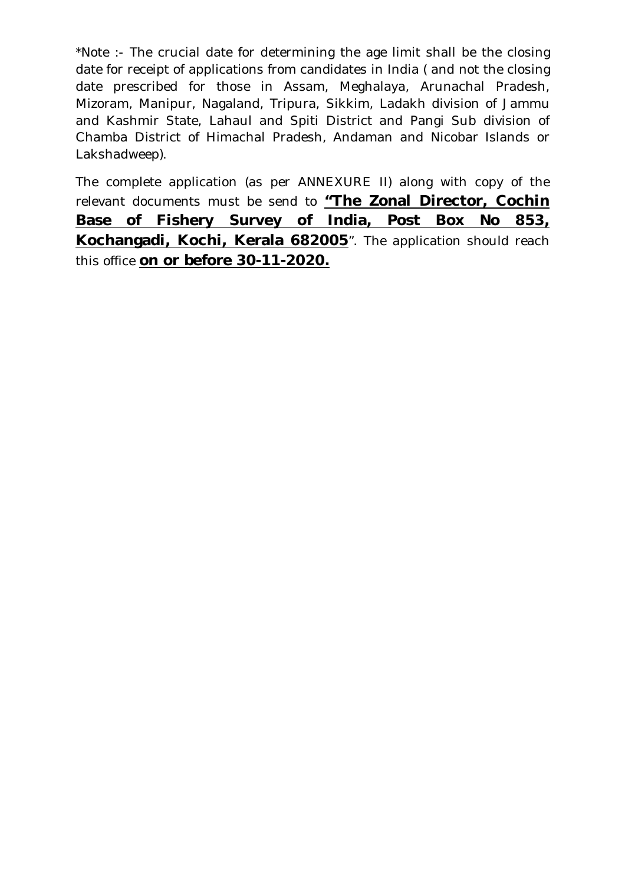\*Note :- The crucial date for determining the age limit shall be the closing date for receipt of applications from candidates in India ( and not the closing date prescribed for those in Assam, Meghalaya, Arunachal Pradesh, Mizoram, Manipur, Nagaland, Tripura, Sikkim, Ladakh division of Jammu and Kashmir State, Lahaul and Spiti District and Pangi Sub division of Chamba District of Himachal Pradesh, Andaman and Nicobar Islands or Lakshadweep).

The complete application (as per ANNEXURE II) along with copy of the relevant documents must be send to **"The Zonal Director, Cochin Base of Fishery Survey of India, Post Box No 853, Kochangadi, Kochi, Kerala 682005**". The application should reach this office **on or before 30-11-2020.**